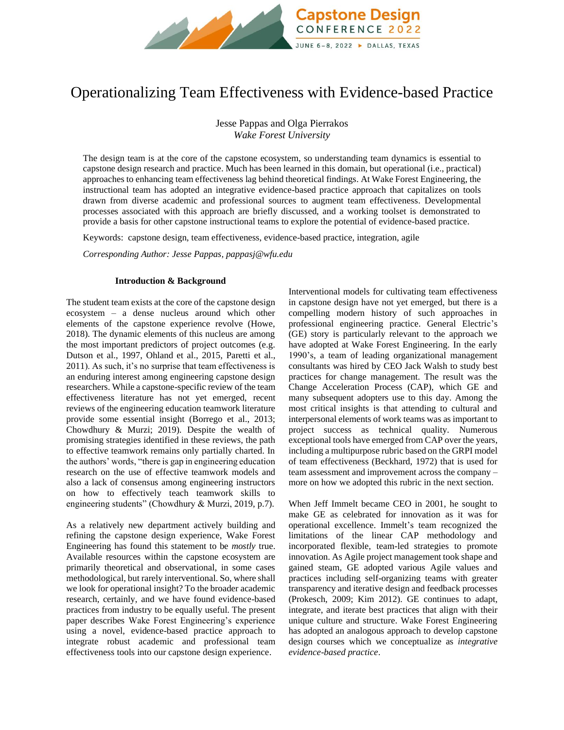

# Operationalizing Team Effectiveness with Evidence-based Practice

Jesse Pappas and Olga Pierrakos *Wake Forest University*

The design team is at the core of the capstone ecosystem, so understanding team dynamics is essential to capstone design research and practice. Much has been learned in this domain, but operational (i.e., practical) approaches to enhancing team effectiveness lag behind theoretical findings. At Wake Forest Engineering, the instructional team has adopted an integrative evidence-based practice approach that capitalizes on tools drawn from diverse academic and professional sources to augment team effectiveness. Developmental processes associated with this approach are briefly discussed, and a working toolset is demonstrated to provide a basis for other capstone instructional teams to explore the potential of evidence-based practice.

Keywords:capstone design, team effectiveness, evidence-based practice, integration, agile

*Corresponding Author: Jesse Pappas, pappasj@wfu.edu*

### **Introduction & Background**

The student team exists at the core of the capstone design ecosystem – a dense nucleus around which other elements of the capstone experience revolve (Howe, 2018). The dynamic elements of this nucleus are among the most important predictors of project outcomes (e.g. Dutson et al., 1997, Ohland et al., 2015, Paretti et al., 2011). As such, it's no surprise that team effectiveness is an enduring interest among engineering capstone design researchers. While a capstone-specific review of the team effectiveness literature has not yet emerged, recent reviews of the engineering education teamwork literature provide some essential insight (Borrego et al., 2013; Chowdhury & Murzi; 2019). Despite the wealth of promising strategies identified in these reviews, the path to effective teamwork remains only partially charted. In the authors' words, "there is gap in engineering education research on the use of effective teamwork models and also a lack of consensus among engineering instructors on how to effectively teach teamwork skills to engineering students" (Chowdhury & Murzi, 2019, p.7).

As a relatively new department actively building and refining the capstone design experience, Wake Forest Engineering has found this statement to be *mostly* true. Available resources within the capstone ecosystem are primarily theoretical and observational, in some cases methodological, but rarely interventional. So, where shall we look for operational insight? To the broader academic research, certainly, and we have found evidence-based practices from industry to be equally useful. The present paper describes Wake Forest Engineering's experience using a novel, evidence-based practice approach to integrate robust academic and professional team effectiveness tools into our capstone design experience.

Interventional models for cultivating team effectiveness in capstone design have not yet emerged, but there is a compelling modern history of such approaches in professional engineering practice. General Electric's (GE) story is particularly relevant to the approach we have adopted at Wake Forest Engineering. In the early 1990's, a team of leading organizational management consultants was hired by CEO Jack Walsh to study best practices for change management. The result was the Change Acceleration Process (CAP), which GE and many subsequent adopters use to this day. Among the most critical insights is that attending to cultural and interpersonal elements of work teams was as important to project success as technical quality. Numerous exceptional tools have emerged from CAP over the years, including a multipurpose rubric based on the GRPI model of team effectiveness (Beckhard, 1972) that is used for team assessment and improvement across the company – more on how we adopted this rubric in the next section.

When Jeff Immelt became CEO in 2001, he sought to make GE as celebrated for innovation as it was for operational excellence. Immelt's team recognized the limitations of the linear CAP methodology and incorporated flexible, team-led strategies to promote innovation. As Agile project management took shape and gained steam, GE adopted various Agile values and practices including self-organizing teams with greater transparency and iterative design and feedback processes (Prokesch, 2009; Kim 2012). GE continues to adapt, integrate, and iterate best practices that align with their unique culture and structure. Wake Forest Engineering has adopted an analogous approach to develop capstone design courses which we conceptualize as *integrative evidence-based practice*.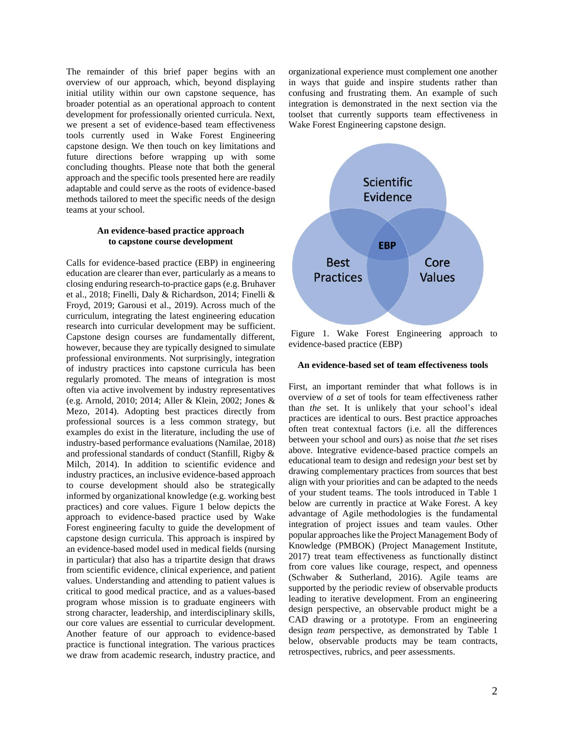The remainder of this brief paper begins with an overview of our approach, which, beyond displaying initial utility within our own capstone sequence, has broader potential as an operational approach to content development for professionally oriented curricula. Next, we present a set of evidence-based team effectiveness tools currently used in Wake Forest Engineering capstone design. We then touch on key limitations and future directions before wrapping up with some concluding thoughts. Please note that both the general approach and the specific tools presented here are readily adaptable and could serve as the roots of evidence-based methods tailored to meet the specific needs of the design teams at your school.

### **An evidence-based practice approach to capstone course development**

Calls for evidence-based practice (EBP) in engineering education are clearer than ever, particularly as a means to closing enduring research-to-practice gaps (e.g. Bruhaver et al., 2018; Finelli, Daly & Richardson, 2014; Finelli & Froyd, 2019; Garousi et al., 2019). Across much of the curriculum, integrating the latest engineering education research into curricular development may be sufficient. Capstone design courses are fundamentally different, however, because they are typically designed to simulate professional environments. Not surprisingly, integration of industry practices into capstone curricula has been regularly promoted. The means of integration is most often via active involvement by industry representatives (e.g. Arnold, 2010; 2014; Aller & Klein, 2002; Jones & Mezo, 2014). Adopting best practices directly from professional sources is a less common strategy, but examples do exist in the literature, including the use of industry-based performance evaluations (Namilae, 2018) and professional standards of conduct (Stanfill, Rigby & Milch, 2014). In addition to scientific evidence and industry practices, an inclusive evidence-based approach to course development should also be strategically informed by organizational knowledge (e.g. working best practices) and core values. Figure 1 below depicts the approach to evidence-based practice used by Wake Forest engineering faculty to guide the development of capstone design curricula. This approach is inspired by an evidence-based model used in medical fields (nursing in particular) that also has a tripartite design that draws from scientific evidence, clinical experience, and patient values. Understanding and attending to patient values is critical to good medical practice, and as a values-based program whose mission is to graduate engineers with strong character, leadership, and interdisciplinary skills, our core values are essential to curricular development. Another feature of our approach to evidence-based practice is functional integration. The various practices we draw from academic research, industry practice, and

organizational experience must complement one another in ways that guide and inspire students rather than confusing and frustrating them. An example of such integration is demonstrated in the next section via the toolset that currently supports team effectiveness in Wake Forest Engineering capstone design.



Figure 1. Wake Forest Engineering approach to evidence-based practice (EBP)

#### **An evidence-based set of team effectiveness tools**

First, an important reminder that what follows is in overview of *a* set of tools for team effectiveness rather than *the* set. It is unlikely that your school's ideal practices are identical to ours. Best practice approaches often treat contextual factors (i.e. all the differences between your school and ours) as noise that *the* set rises above. Integrative evidence-based practice compels an educational team to design and redesign *your* best set by drawing complementary practices from sources that best align with your priorities and can be adapted to the needs of your student teams. The tools introduced in Table 1 below are currently in practice at Wake Forest. A key advantage of Agile methodologies is the fundamental integration of project issues and team vaules. Other popular approaches like the Project Management Body of Knowledge (PMBOK) (Project Management Institute, 2017) treat team effectiveness as functionally distinct from core values like courage, respect, and openness (Schwaber & Sutherland, 2016). Agile teams are supported by the periodic review of observable products leading to iterative development. From an engineering design perspective, an observable product might be a CAD drawing or a prototype. From an engineering design *team* perspective, as demonstrated by Table 1 below, observable products may be team contracts, retrospectives, rubrics, and peer assessments.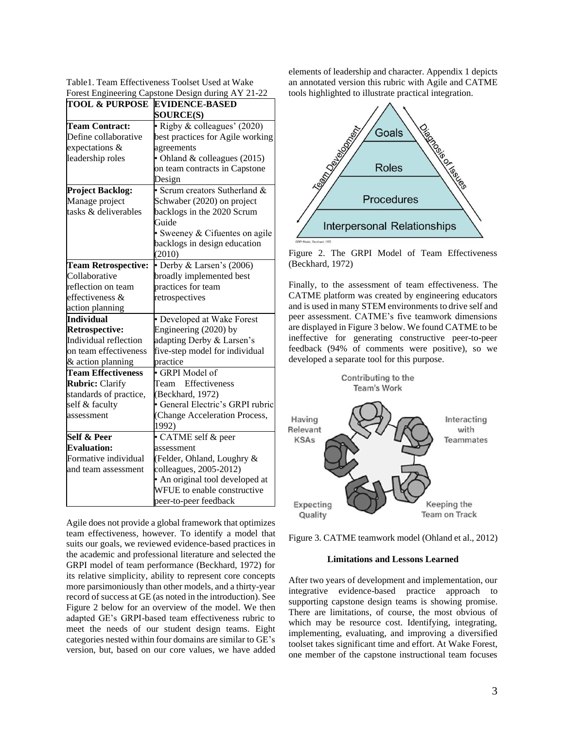| Table 1. Team Effectiveness Toolset Used at Wake   |  |
|----------------------------------------------------|--|
| Forest Engineering Capstone Design during AY 21-22 |  |

| <b>TOOL &amp; PURPOSE</b>  | <b>EVIDENCE-BASED</b>            |  |  |  |  |
|----------------------------|----------------------------------|--|--|--|--|
|                            | <b>SOURCE(S)</b>                 |  |  |  |  |
| <b>Team Contract:</b>      | · Rigby & colleagues' (2020)     |  |  |  |  |
| Define collaborative       | best practices for Agile working |  |  |  |  |
| expectations &             | agreements                       |  |  |  |  |
| leadership roles           | • Ohland & colleagues (2015)     |  |  |  |  |
|                            | on team contracts in Capstone    |  |  |  |  |
|                            | Design                           |  |  |  |  |
| <b>Project Backlog:</b>    | · Scrum creators Sutherland &    |  |  |  |  |
| Manage project             | Schwaber (2020) on project       |  |  |  |  |
| tasks & deliverables       | backlogs in the 2020 Scrum       |  |  |  |  |
|                            | Guide                            |  |  |  |  |
|                            | · Sweeney & Cifuentes on agile   |  |  |  |  |
|                            | backlogs in design education     |  |  |  |  |
|                            | (2010)                           |  |  |  |  |
| <b>Team Retrospective:</b> | • Derby & Larsen's (2006)        |  |  |  |  |
| Collaborative              | broadly implemented best         |  |  |  |  |
| reflection on team         | practices for team               |  |  |  |  |
| effectiveness &            | retrospectives                   |  |  |  |  |
| action planning            |                                  |  |  |  |  |
| <b>Individual</b>          | · Developed at Wake Forest       |  |  |  |  |
| <b>Retrospective:</b>      | Engineering (2020) by            |  |  |  |  |
| Individual reflection      | adapting Derby & Larsen's        |  |  |  |  |
| on team effectiveness      | five-step model for individual   |  |  |  |  |
| & action planning          | practice                         |  |  |  |  |
| <b>Team Effectiveness</b>  | · GRPI Model of                  |  |  |  |  |
| <b>Rubric: Clarify</b>     | Effectiveness<br>Team            |  |  |  |  |
| standards of practice,     | (Beckhard, 1972)                 |  |  |  |  |
| self & faculty             | · General Electric's GRPI rubric |  |  |  |  |
| assessment                 | (Change Acceleration Process,    |  |  |  |  |
|                            | 1992)                            |  |  |  |  |
| Self & Peer                | · CATME self & peer              |  |  |  |  |
| <b>Evaluation:</b>         | assessment                       |  |  |  |  |
| Formative individual       | (Felder, Ohland, Loughry &       |  |  |  |  |
| and team assessment        | colleagues, 2005-2012)           |  |  |  |  |
|                            | • An original tool developed at  |  |  |  |  |
|                            | WFUE to enable constructive      |  |  |  |  |
|                            | peer-to-peer feedback            |  |  |  |  |

Agile does not provide a global framework that optimizes team effectiveness, however. To identify a model that suits our goals, we reviewed evidence-based practices in the academic and professional literature and selected the GRPI model of team performance (Beckhard, 1972) for its relative simplicity, ability to represent core concepts more parsimoniously than other models, and a thirty-year record of success at GE (as noted in the introduction). See Figure 2 below for an overview of the model. We then adapted GE's GRPI-based team effectiveness rubric to meet the needs of our student design teams. Eight categories nested within four domains are similar to GE's version, but, based on our core values, we have added elements of leadership and character. Appendix 1 depicts an annotated version this rubric with Agile and CATME tools highlighted to illustrate practical integration.



Figure 2. The GRPI Model of Team Effectiveness (Beckhard, 1972)

Finally, to the assessment of team effectiveness. The CATME platform was created by engineering educators and is used in many STEM environments to drive self and peer assessment. CATME's five teamwork dimensions are displayed in Figure 3 below. We found CATME to be ineffective for generating constructive peer-to-peer feedback (94% of comments were positive), so we developed a separate tool for this purpose.



Figure 3. CATME teamwork model (Ohland et al., 2012)

### **Limitations and Lessons Learned**

After two years of development and implementation, our integrative evidence-based practice approach to supporting capstone design teams is showing promise. There are limitations, of course, the most obvious of which may be resource cost. Identifying, integrating, implementing, evaluating, and improving a diversified toolset takes significant time and effort. At Wake Forest, one member of the capstone instructional team focuses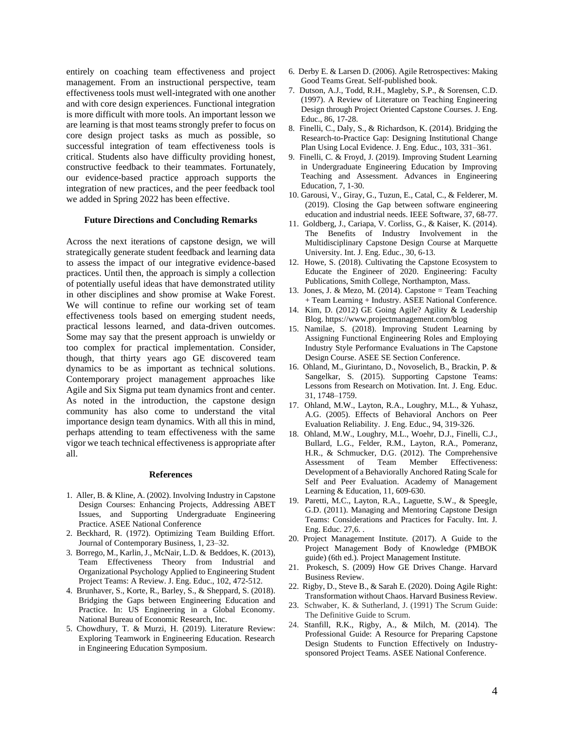entirely on coaching team effectiveness and project management. From an instructional perspective, team effectiveness tools must well-integrated with one another and with core design experiences. Functional integration is more difficult with more tools. An important lesson we are learning is that most teams strongly prefer to focus on core design project tasks as much as possible, so successful integration of team effectiveness tools is critical. Students also have difficulty providing honest, constructive feedback to their teammates. Fortunately, our evidence-based practice approach supports the integration of new practices, and the peer feedback tool we added in Spring 2022 has been effective.

#### **Future Directions and Concluding Remarks**

Across the next iterations of capstone design, we will strategically generate student feedback and learning data to assess the impact of our integrative evidence-based practices. Until then, the approach is simply a collection of potentially useful ideas that have demonstrated utility in other disciplines and show promise at Wake Forest. We will continue to refine our working set of team effectiveness tools based on emerging student needs, practical lessons learned, and data-driven outcomes. Some may say that the present approach is unwieldy or too complex for practical implementation. Consider, though, that thirty years ago GE discovered team dynamics to be as important as technical solutions. Contemporary project management approaches like Agile and Six Sigma put team dynamics front and center. As noted in the introduction, the capstone design community has also come to understand the vital importance design team dynamics. With all this in mind, perhaps attending to team effectiveness with the same vigor we teach technical effectiveness is appropriate after all.

#### **References**

- 1. Aller, B. & Kline, A. (2002). Involving Industry in Capstone Design Courses: Enhancing Projects, Addressing ABET Issues, and Supporting Undergraduate Engineering Practice. ASEE National Conference
- 2. Beckhard, R. (1972). Optimizing Team Building Effort. Journal of Contemporary Business, 1, 23–32.
- 3. Borrego, M., Karlin, J., McNair, L.D. & Beddoes, K. (2013), Team Effectiveness Theory from Industrial and Organizational Psychology Applied to Engineering Student Project Teams: A Review. J. Eng. Educ., 102, 472-512.
- 4. Brunhaver, S., Korte, R., Barley, S., & Sheppard, S. (2018). Bridging the Gaps between Engineering Education and Practice. In: US Engineering in a Global Economy. National Bureau of Economic Research, Inc.
- 5. Chowdhury, T. & Murzi, H. (2019). Literature Review: Exploring Teamwork in Engineering Education. Research in Engineering Education Symposium.
- 6. Derby E. & Larsen D. (2006). Agile Retrospectives: Making Good Teams Great. Self-published book.
- 7. Dutson, A.J., Todd, R.H., Magleby, S.P., & Sorensen, C.D. (1997). A Review of Literature on Teaching Engineering Design through Project Oriented Capstone Courses. J. Eng. Educ., 86, 17-28.
- 8. Finelli, C., Daly, S., & Richardson, K. (2014). Bridging the Research-to-Practice Gap: Designing Institutional Change Plan Using Local Evidence. J. Eng. Educ., 103, 331–361.
- 9. Finelli, C. & Froyd, J. (2019). Improving Student Learning in Undergraduate Engineering Education by Improving Teaching and Assessment. Advances in Engineering Education, 7, 1-30.
- 10. Garousi, V., Giray, G., Tuzun, E., Catal, C., & Felderer, M. (2019). Closing the Gap between software engineering education and industrial needs. IEEE Software, 37, 68-77.
- 11. Goldberg, J., Cariapa, V. Corliss, G., & Kaiser, K. (2014). The Benefits of Industry Involvement in the Multidisciplinary Capstone Design Course at Marquette University. Int. J. Eng. Educ., 30, 6-13.
- 12. Howe, S. (2018). Cultivating the Capstone Ecosystem to Educate the Engineer of 2020. Engineering: Faculty Publications, Smith College, Northampton, Mass.
- 13. Jones, J. & Mezo, M. (2014). Capstone = Team Teaching + Team Learning + Industry. ASEE National Conference.
- 14. Kim, D. (2012) GE Going Agile? Agility & Leadership Blog. https://www.projectmanagement.com/blog
- 15. Namilae, S. (2018). Improving Student Learning by Assigning Functional Engineering Roles and Employing Industry Style Performance Evaluations in The Capstone Design Course. ASEE SE Section Conference.
- 16. Ohland, M., Giurintano, D., Novoselich, B., Brackin, P. & Sangelkar, S. (2015). Supporting Capstone Teams: Lessons from Research on Motivation. Int. J. Eng. Educ. 31, 1748–1759.
- 17. Ohland, M.W., Layton, R.A., Loughry, M.L., & Yuhasz, A.G. (2005). Effects of Behavioral Anchors on Peer Evaluation Reliability. J. Eng. Educ., 94, 319-326.
- 18. Ohland, M.W., Loughry, M.L., Woehr, D.J., Finelli, C.J., Bullard, L.G., Felder, R.M., Layton, R.A., Pomeranz, H.R., & Schmucker, D.G. (2012). The Comprehensive Assessment of Team Member Effectiveness: Development of a Behaviorally Anchored Rating Scale for Self and Peer Evaluation. Academy of Management Learning & Education, 11, 609-630.
- 19. Paretti, M.C., Layton, R.A., Laguette, S.W., & Speegle, G.D. (2011). Managing and Mentoring Capstone Design Teams: Considerations and Practices for Faculty. Int. J. Eng. Educ. 27,6. .
- 20. Project Management Institute. (2017). A Guide to the Project Management Body of Knowledge (PMBOK guide) (6th ed.). Project Management Institute.
- 21. Prokesch, S. (2009) How GE Drives Change. Harvard Business Review.
- 22. Rigby, D., Steve B., & Sarah E. (2020). Doing Agile Right: Transformation without Chaos. Harvard Business Review.
- 23. Schwaber, K. & Sutherland, J. (1991) The Scrum Guide: The Definitive Guide to Scrum.
- 24. Stanfill, R.K., Rigby, A., & Milch, M. (2014). The Professional Guide: A Resource for Preparing Capstone Design Students to Function Effectively on Industrysponsored Project Teams. ASEE National Conference.